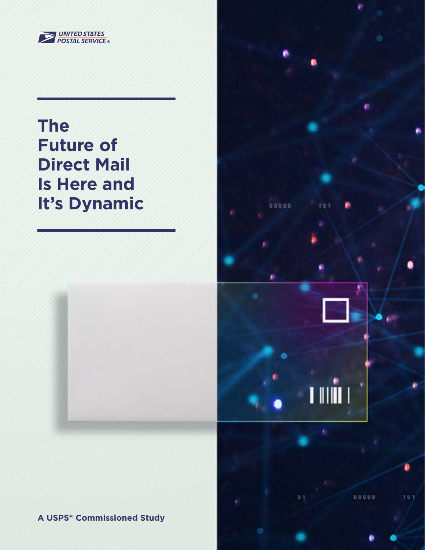

# **The Future of Direct Mail Is Here and It's Dynamic**





00000

 $101$ 

 $0.1$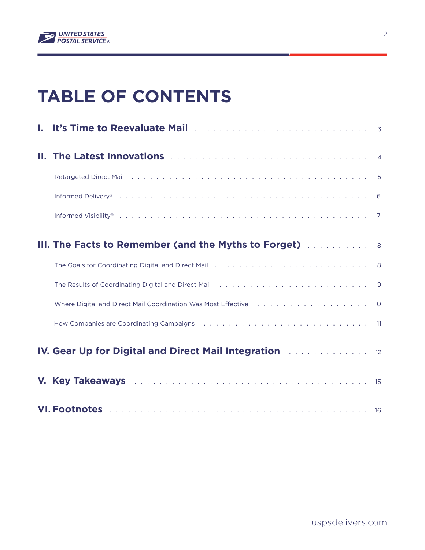

# **TABLE OF CONTENTS**

| I. It's Time to Reevaluate Mail <b>Election Contract Contract Contract Contract Contract Contract Contract Contract</b>                                                 |  |
|-------------------------------------------------------------------------------------------------------------------------------------------------------------------------|--|
|                                                                                                                                                                         |  |
|                                                                                                                                                                         |  |
|                                                                                                                                                                         |  |
|                                                                                                                                                                         |  |
| <b>III. The Facts to Remember (and the Myths to Forget)</b> Allowships 8                                                                                                |  |
|                                                                                                                                                                         |  |
|                                                                                                                                                                         |  |
| Where Digital and Direct Mail Coordination Was Most Effective (assets and a series and a series 10                                                                      |  |
| How Companies are Coordinating Campaigns (and all contained all contained all companies are Coordinating Campaigns (also contained all contained all companies are $11$ |  |
| IV. Gear Up for Digital and Direct Mail Integration <b>Fig. 1. Act 1. Act 12</b>                                                                                        |  |
|                                                                                                                                                                         |  |
|                                                                                                                                                                         |  |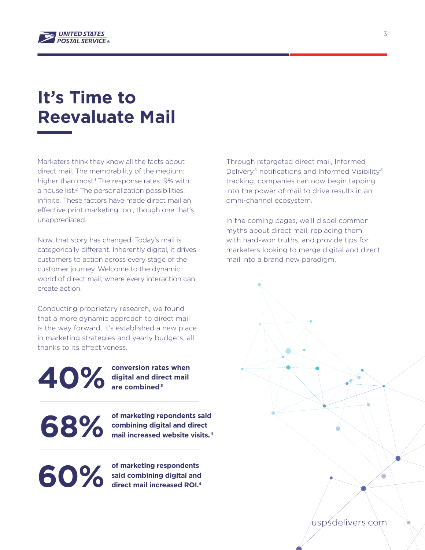

# **It's Time to Reevaluate Mail**

Marketers think they know all the facts about direct mail. The memorability of the medium: higher than most.<sup>1</sup> The response rates: 9% with a house list.<sup>2</sup> The personalization possibilities: infinite. These factors have made direct mail an effective print marketing tool, though one that's unappreciated.

Now, that story has changed. Today's mail is categorically different. Inherently digital, it drives customers to action across every stage of the customer journey. Welcome to the dynamic world of direct mail, where every interaction can create action.

Conducting proprietary research, we found that a more dynamic approach to direct mail is the way forward. It's established a new place in marketing strategies and yearly budgets, all thanks to its effectiveness.

**40%**

**conversion rates when digital and direct mail are combined3**

**of marketing repondents said combining digital and direct mail increased website visits. 4 68%**

**of marketing respondents said combining digital and 60%** of marketing respondents<br>said combining digital and<br>direct mail increased ROI.<sup>4</sup>

Through retargeted direct mail, Informed Delivery® notifications and Informed Visibility® tracking, companies can now begin tapping into the power of mail to drive results in an omni-channel ecosystem.

In the coming pages, we'll dispel common myths about direct mail, replacing them with hard-won truths, and provide tips for marketers looking to merge digital and direct mail into a brand new paradigm.

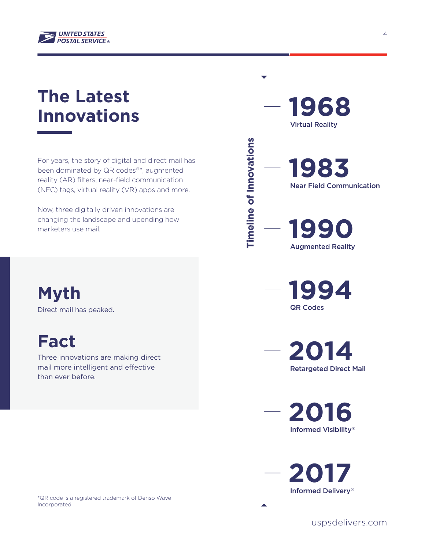

# **The Latest Innovations**

For years, the story of digital and direct mail has been dominated by QR codes®\*, augmented reality (AR) filters, near-field communication (NFC) tags, virtual reality (VR) apps and more.

Now, three digitally driven innovations are changing the landscape and upending how marketers use mail.

**Myth** Direct mail has peaked.

**Fact**

Three innovations are making direct mail more intelligent and effective than ever before.

\*QR code is a registered trademark of Denso Wave Incorporated.

**1990 1994** Near Field Communication Augmented Reality QR Codes

**1968**

Virtual Reality

**1983**

**Timeline of Innovations** 

**Timeline of Innovations** 

**2014** Retargeted Direct Mail

**2016** Informed Visibility®

**2017** Informed Delivery®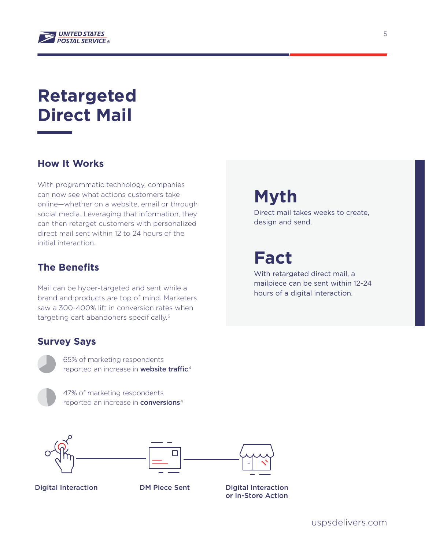

# **Retargeted Direct Mail**

### **How It Works**

With programmatic technology, companies can now see what actions customers take online—whether on a website, email or through social media. Leveraging that information, they can then retarget customers with personalized direct mail sent within 12 to 24 hours of the initial interaction.

#### **The Benefits**

Mail can be hyper-targeted and sent while a brand and products are top of mind. Marketers saw a 300-400% lift in conversion rates when targeting cart abandoners specifically.<sup>5</sup>

#### **Survey Says**



65% of marketing respondents reported an increase in **website traffic**<sup>4</sup>

47% of marketing respondents reported an increase in **conversions**<sup>4</sup>





Digital Interaction DM Piece Sent Digital Interaction or In-Store Action

**Myth**

Direct mail takes weeks to create, design and send.

**Fact**

With retargeted direct mail, a mailpiece can be sent within 12-24 hours of a digital interaction.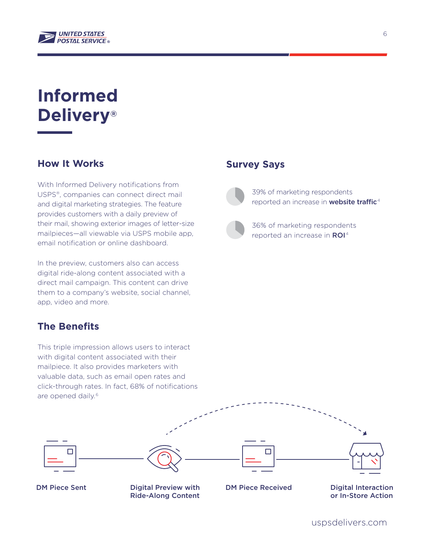

# **Informed Delivery®**

### **How It Works**

With Informed Delivery notifications from USPS®, companies can connect direct mail and digital marketing strategies. The feature provides customers with a daily preview of their mail, showing exterior images of letter-size mailpieces—all viewable via USPS mobile app, email notification or online dashboard.

In the preview, customers also can access digital ride-along content associated with a direct mail campaign. This content can drive them to a company's website, social channel, app, video and more.

### **The Benefits**

This triple impression allows users to interact with digital content associated with their mailpiece. It also provides marketers with valuable data, such as email open rates and click-through rates. In fact, 68% of notifications are opened daily.<sup>6</sup>

#### **Survey Says**

39% of marketing respondents reported an increase in **website traffic**<sup>4</sup>



36% of marketing respondents reported an increase in ROI<sup>4</sup>



DM Piece Sent Digital Preview with Ride-Along Content DM Piece Received

Digital Interaction or In-Store Action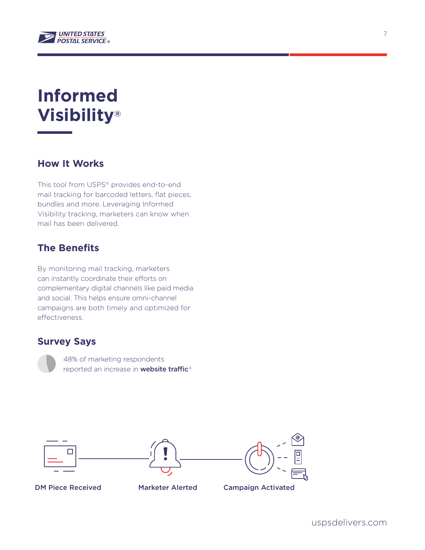

# **Informed Visibility®**

### **How It Works**

This tool from USPS® provides end-to-end mail tracking for barcoded letters, flat pieces, bundles and more. Leveraging Informed Visibility tracking, marketers can know when mail has been delivered.

### **The Benefits**

By monitoring mail tracking, marketers can instantly coordinate their efforts on complementary digital channels like paid media and social. This helps ensure omni-channel campaigns are both timely and optimized for effectiveness.

#### **Survey Says**





DM Piece Received Marketer Alerted Campaign Activated



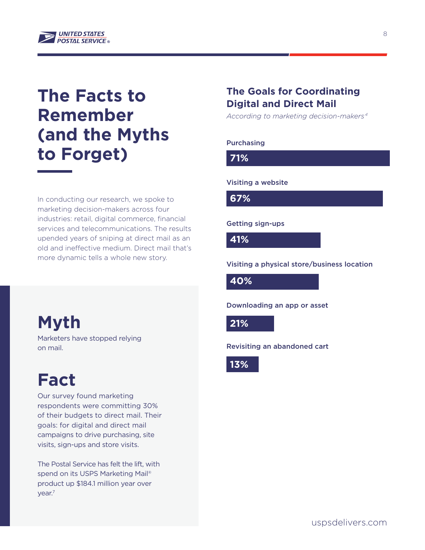

## **The Facts to Remember (and the Myths** to Forget)

In conducting our research, we spoke to marketing decision-makers across four industries: retail, digital commerce, financial services and telecommunications. The results upended years of sniping at direct mail as an old and ineffective medium. Direct mail that's more dynamic tells a whole new story.

### **Myth 13%**

Marketers have stopped relying on mail.

# **Fact**

Our survey found marketing respondents were committing 30% of their budgets to direct mail. Their goals: for digital and direct mail campaigns to drive purchasing, site visits, sign-ups and store visits.

The Postal Service has felt the lift, with spend on its USPS Marketing Mail® product up \$184.1 million year over year.7

### **The Goals for Coordinating Digital and Direct Mail**

*According to marketing decision-makers <sup>4</sup>*

#### Purchasing

**71%**

#### Visiting a website

**67%**

#### Getting sign-ups

**41%**

#### Visiting a physical store/business location

**40%**

Downloading an app or asset

**21%**

Revisiting an abandoned cart

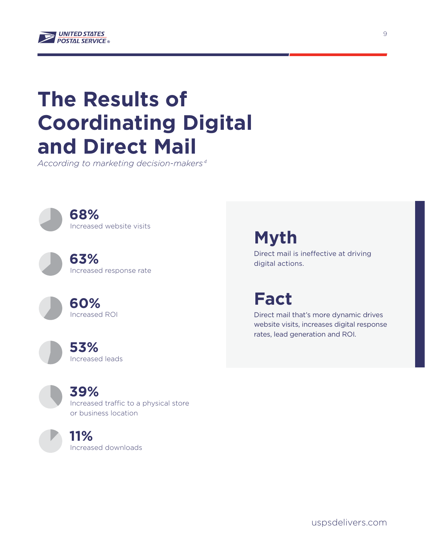

# **The Results of Coordinating Digital and Direct Mail**

*According to marketing decision-makers <sup>4</sup>*

**68%** Increased website visits

> **63%** Increased response rate

> > **60%** Increased ROI

**53%** Increased leads **Myth**

Direct mail is ineffective at driving digital actions.

**Fact**

Direct mail that's more dynamic drives website visits, increases digital response rates, lead generation and ROI.

**39%** Increased traffic to a physical store or business location

**11%**

Increased downloads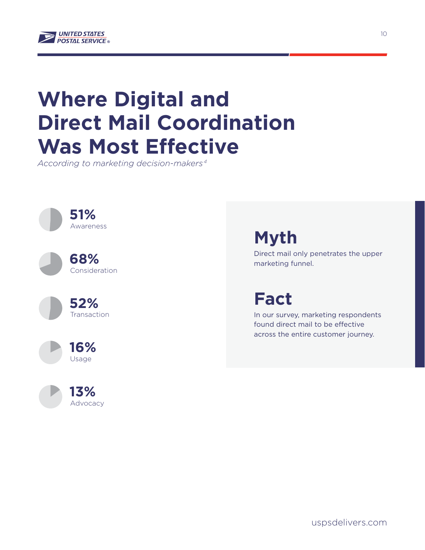

# **Where Digital and Direct Mail Coordination Was Most Effective**

*According to marketing decision-makers <sup>4</sup>*



## **Myth**

Direct mail only penetrates the upper marketing funnel.

### **Fact**

In our survey, marketing respondents found direct mail to be effective across the entire customer journey.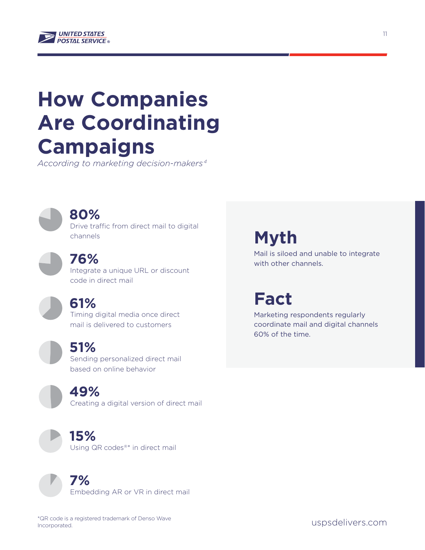

# **How Companies Are Coordinating Campaigns**

*According to marketing decision-makers <sup>4</sup>*

**80%** Drive traffic from direct mail to digital channels

**76%** Integrate a unique URL or discount code in direct mail

**61%** Timing digital media once direct mail is delivered to customers

**51%** Sending personalized direct mail based on online behavior

**49%** Creating a digital version of direct mail



**15%**

Using QR codes®\* in direct mail



### **7%**

Embedding AR or VR in direct mail

## **Myth**

Mail is siloed and unable to integrate with other channels.

### **Fact**

Marketing respondents regularly coordinate mail and digital channels 60% of the time.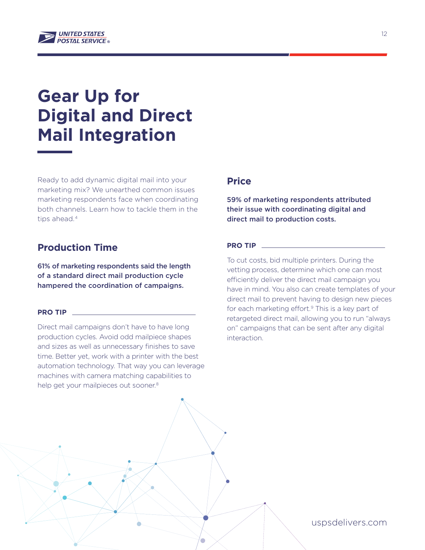

# **Gear Up for Digital and Direct Mail Integration**

Ready to add dynamic digital mail into your marketing mix? We unearthed common issues marketing respondents face when coordinating both channels. Learn how to tackle them in the tips ahead.<sup>4</sup>

#### **Production Time**

61% of marketing respondents said the length of a standard direct mail production cycle hampered the coordination of campaigns.

#### **PRO TIP**

Direct mail campaigns don't have to have long production cycles. Avoid odd mailpiece shapes and sizes as well as unnecessary finishes to save time. Better yet, work with a printer with the best automation technology. That way you can leverage machines with camera matching capabilities to help get your mailpieces out sooner.<sup>8</sup>

#### **Price**

59% of marketing respondents attributed their issue with coordinating digital and direct mail to production costs.

#### **PRO TIP**

To cut costs, bid multiple printers. During the vetting process, determine which one can most efficiently deliver the direct mail campaign you have in mind. You also can create templates of your direct mail to prevent having to design new pieces for each marketing effort.<sup>9</sup> This is a key part of retargeted direct mail, allowing you to run "always on" campaigns that can be sent after any digital interaction.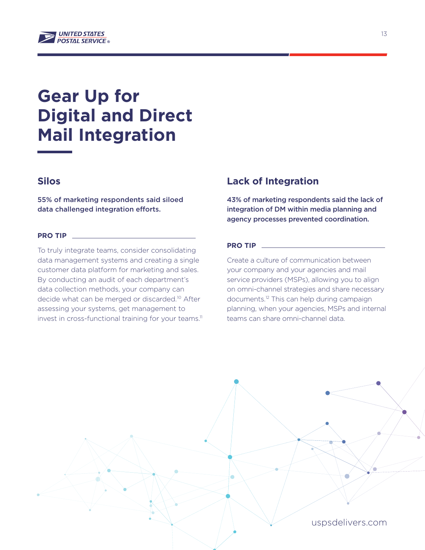

# **Gear Up for Digital and Direct Mail Integration**

### **Silos**

55% of marketing respondents said siloed data challenged integration efforts.

#### **PRO TIP**

To truly integrate teams, consider consolidating data management systems and creating a single customer data platform for marketing and sales. By conducting an audit of each department's data collection methods, your company can decide what can be merged or discarded.<sup>10</sup> After assessing your systems, get management to invest in cross-functional training for your teams.<sup>11</sup>

#### **Lack of Integration**

43% of marketing respondents said the lack of integration of DM within media planning and agency processes prevented coordination.

#### **PRO TIP**

Create a culture of communication between your company and your agencies and mail service providers (MSPs), allowing you to align on omni-channel strategies and share necessary documents.<sup>12</sup> This can help during campaign planning, when your agencies, MSPs and internal teams can share omni-channel data.

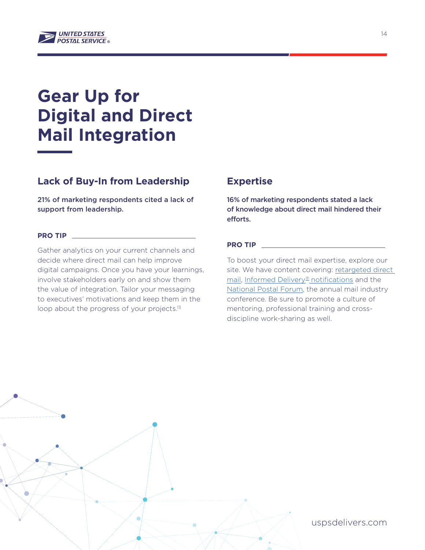

# **Gear Up for Digital and Direct Mail Integration**

### **Lack of Buy-In from Leadership**

21% of marketing respondents cited a lack of support from leadership.

#### **PRO TIP**

Gather analytics on your current channels and decide where direct mail can help improve digital campaigns. Once you have your learnings, involve stakeholders early on and show them the value of integration. Tailor your messaging to executives' motivations and keep them in the loop about the progress of your projects.<sup>13</sup>

#### **Expertise**

16% of marketing respondents stated a lack of knowledge about direct mail hindered their efforts.

#### **PRO TIP**

To boost your direct mail expertise, explore our site. We have content covering: retargeted direct [mail](https://www.uspsdelivers.com/programmatic-mail-guide/), [Informed Delivery® notifications](https://www.uspsdelivers.com/creating-interactive-experiences-with-informed-delivery/) and the [National Postal Forum](https://www.uspsdelivers.com/national-postal-forum/), the annual mail industry conference. Be sure to promote a culture of mentoring, professional training and crossdiscipline work-sharing as well.

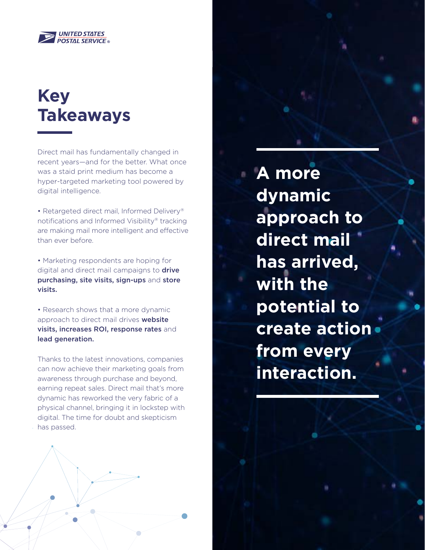

# **Key Takeaways**

Direct mail has fundamentally changed in recent years—and for the better. What once was a staid print medium has become a hyper-targeted marketing tool powered by digital intelligence.

• Retargeted direct mail, Informed Delivery® notifications and Informed Visibility® tracking are making mail more intelligent and effective than ever before.

• Marketing respondents are hoping for digital and direct mail campaigns to **drive** purchasing, site visits, sign-ups and store visits.

• Research shows that a more dynamic approach to direct mail drives website visits, increases ROI, response rates and lead generation.

Thanks to the latest innovations, companies can now achieve their marketing goals from awareness through purchase and beyond, earning repeat sales. Direct mail that's more dynamic has reworked the very fabric of a physical channel, bringing it in lockstep with digital. The time for doubt and skepticism has passed.

**A more dynamic approach to direct mail has arrived, with the potential to create action from every interaction.**